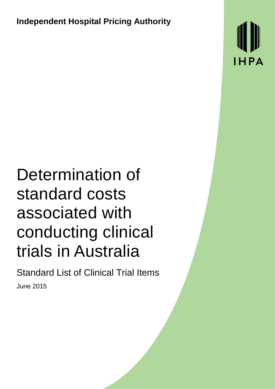**Independent Hospital Pricing Authority**

HPA

# Determination of standard costs associated with conducting clinical trials in Australia

Standard List of Clinical Trial Items June 2015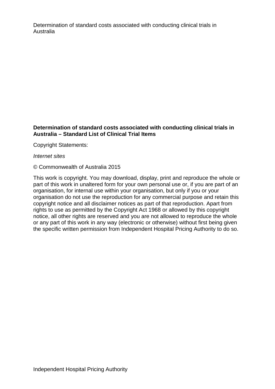#### **Determination of standard costs associated with conducting clinical trials in Australia – Standard List of Clinical Trial Items**

Copyright Statements:

*Internet sites*

© Commonwealth of Australia 2015

This work is copyright. You may download, display, print and reproduce the whole or part of this work in unaltered form for your own personal use or, if you are part of an organisation, for internal use within your organisation, but only if you or your organisation do not use the reproduction for any commercial purpose and retain this copyright notice and all disclaimer notices as part of that reproduction. Apart from rights to use as permitted by the Copyright Act 1968 or allowed by this copyright notice, all other rights are reserved and you are not allowed to reproduce the whole or any part of this work in any way (electronic or otherwise) without first being given the specific written permission from Independent Hospital Pricing Authority to do so.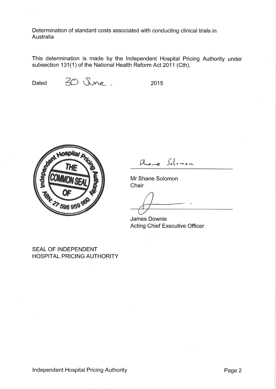This determination is made by the Independent Hospital Pricing Authority under subsection 131(1) of the National Health Reform Act 2011 (Cth).

Dated

30 June.

2015



 $A_{\text{max}}$   $S_{\text{max}}$ 

Mr Shane Solomon Chair

James Downie **Acting Chief Executive Officer** 

**SEAL OF INDEPENDENT HOSPITAL PRICING AUTHORITY**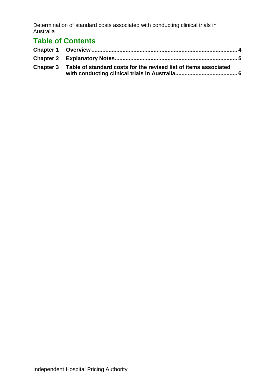# **Table of Contents**

| Chapter 3 Table of standard costs for the revised list of items associated |  |
|----------------------------------------------------------------------------|--|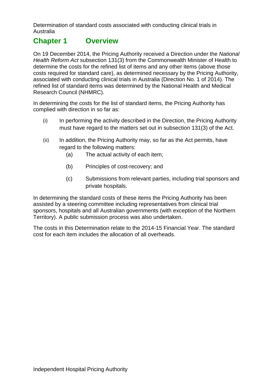## <span id="page-4-0"></span>**Chapter 1 Overview**

On 19 December 2014, the Pricing Authority received a Direction under the *National Health Reform Act* subsection 131(3) from the Commonwealth Minister of Health to determine the costs for the refined list of items and any other items (above those costs required for standard care), as determined necessary by the Pricing Authority, associated with conducting clinical trials in Australia (Direction No. 1 of 2014). The refined list of standard items was determined by the National Health and Medical Research Council (NHMRC).

In determining the costs for the list of standard items, the Pricing Authority has complied with direction in so far as:

- (i) In performing the activity described in the Direction, the Pricing Authority must have regard to the matters set out in subsection 131(3) of the Act.
- (ii) In addition, the Pricing Authority may, so far as the Act permits, have regard to the following matters:
	- (a) The actual activity of each item;
	- (b) Principles of cost-recovery; and
	- (c) Submissions from relevant parties, including trial sponsors and private hospitals.

In determining the standard costs of these items the Pricing Authority has been assisted by a steering committee including representatives from clinical trial sponsors, hospitals and all Australian governments (with exception of the Northern Territory). A public submission process was also undertaken.

The costs in this Determination relate to the 2014-15 Financial Year. The standard cost for each item includes the allocation of all overheads.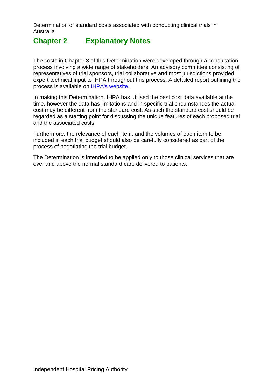# <span id="page-5-0"></span>**Chapter 2 Explanatory Notes**

The costs in Chapter 3 of this Determination were developed through a consultation process involving a wide range of stakeholders. An advisory committee consisting of representatives of trial sponsors, trial collaborative and most jurisdictions provided expert technical input to IHPA throughout this process. A detailed report outlining the process is available on [IHPA's website.](http://www.ihpa.com.au/)

In making this Determination, IHPA has utilised the best cost data available at the time, however the data has limitations and in specific trial circumstances the actual cost may be different from the standard cost. As such the standard cost should be regarded as a starting point for discussing the unique features of each proposed trial and the associated costs.

Furthermore, the relevance of each item, and the volumes of each item to be included in each trial budget should also be carefully considered as part of the process of negotiating the trial budget.

The Determination is intended to be applied only to those clinical services that are over and above the normal standard care delivered to patients.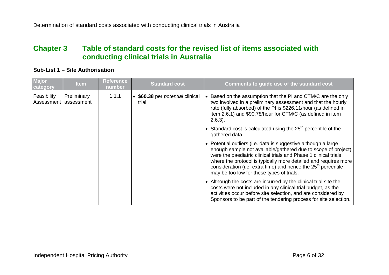## **Chapter 3 Table of standard costs for the revised list of items associated with conducting clinical trials in Australia**

#### **Sub-List 1 – Site Authorisation**

<span id="page-6-0"></span>

| Major<br>category                    | <b>Item</b> | <b>Reference</b><br>number | <b>Standard cost</b>                           | Comments to guide use of the standard cost                                                                                                                                                                                                                                                                                                                                                      |
|--------------------------------------|-------------|----------------------------|------------------------------------------------|-------------------------------------------------------------------------------------------------------------------------------------------------------------------------------------------------------------------------------------------------------------------------------------------------------------------------------------------------------------------------------------------------|
| Feasibility<br>Assessment assessment | Preliminary | 1.1.1                      | \$60.38 per <i>potential</i> clinical<br>trial | • Based on the assumption that the PI and CTM/C are the only<br>two involved in a preliminary assessment and that the hourly<br>rate (fully absorbed) of the PI is \$226.11/hour (as defined in<br>item 2.6.1) and \$90.78/hour for CTM/C (as defined in item<br>$2.6.3$ ).                                                                                                                     |
|                                      |             |                            |                                                | • Standard cost is calculated using the $25th$ percentile of the<br>gathered data.                                                                                                                                                                                                                                                                                                              |
|                                      |             |                            |                                                | • Potential outliers (i.e. data is suggestive although a large<br>enough sample not available/gathered due to scope of project)<br>were the paediatric clinical trials and Phase 1 clinical trials<br>where the protocol is typically more detailed and requires more<br>consideration (i.e. extra time) and hence the 25 <sup>th</sup> percentile<br>may be too low for these types of trials. |
|                                      |             |                            |                                                | • Although the costs are incurred by the clinical trial site the<br>costs were not included in any clinical trial budget, as the<br>activities occur before site selection, and are considered by<br>Sponsors to be part of the tendering process for site selection.                                                                                                                           |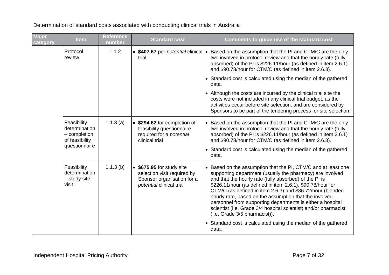| <b>Major</b><br>category | <b>Item</b>                                                                     | <b>Reference</b><br>number | <b>Standard cost</b>                                                                                             | Comments to guide use of the standard cost                                                                                                                                                                                                                                                                                                                                                                                                                                                                                                   |
|--------------------------|---------------------------------------------------------------------------------|----------------------------|------------------------------------------------------------------------------------------------------------------|----------------------------------------------------------------------------------------------------------------------------------------------------------------------------------------------------------------------------------------------------------------------------------------------------------------------------------------------------------------------------------------------------------------------------------------------------------------------------------------------------------------------------------------------|
|                          | Protocol<br>review                                                              | 1.1.2                      | • \$407.67 per potential clinical<br>trial                                                                       | • Based on the assumption that the PI and CTM/C are the only<br>two involved in protocol review and that the hourly rate (fully<br>absorbed) of the PI is \$226.11/hour (as defined in item 2.6.1)<br>and \$90.78/hour for CTM/C (as defined in item 2.6.3).                                                                                                                                                                                                                                                                                 |
|                          |                                                                                 |                            |                                                                                                                  | • Standard cost is calculated using the median of the gathered<br>data.                                                                                                                                                                                                                                                                                                                                                                                                                                                                      |
|                          |                                                                                 |                            |                                                                                                                  | • Although the costs are incurred by the clinical trial site the<br>costs were not included in any clinical trial budget, as the<br>activities occur before site selection, and are considered by<br>Sponsors to be part of the tendering process for site selection.                                                                                                                                                                                                                                                                        |
|                          | Feasibility<br>determination<br>- completion<br>of feasibility<br>questionnaire | 1.1.3(a)                   | • \$294.62 for completion of<br>feasibility questionnaire<br>required for a potential<br>clinical trial          | • Based on the assumption that the PI and CTM/C are the only<br>two involved in protocol review and that the hourly rate (fully<br>absorbed) of the PI is \$226.11/hour (as defined in item 2.6.1)<br>and \$90.78/hour for CTM/C (as defined in item 2.6.3).<br>• Standard cost is calculated using the median of the gathered                                                                                                                                                                                                               |
|                          |                                                                                 |                            |                                                                                                                  | data.                                                                                                                                                                                                                                                                                                                                                                                                                                                                                                                                        |
|                          | Feasibility<br>determination<br>- study site<br>visit                           | 1.1.3(b)                   | \$675.95 for study site<br>selection visit required by<br>Sponsor organisation for a<br>potential clinical trial | • Based on the assumption that the PI, CTM/C and at least one<br>supporting department (usually the pharmacy) are involved<br>and that the hourly rate (fully absorbed) of the PI is<br>\$226.11/hour (as defined in item 2.6.1), \$90.78/hour for<br>CTM/C (as defined in item 2.6.3) and \$86.72/hour (blended<br>hourly rate, based on the assumption that the involved<br>personnel from supporting departments is either a hospital<br>scientist (i.e. Grade 3/4 hospital scientist) and/or pharmacist<br>(i.e. Grade 3/5 pharmacist)). |
|                          |                                                                                 |                            |                                                                                                                  | • Standard cost is calculated using the median of the gathered<br>data.                                                                                                                                                                                                                                                                                                                                                                                                                                                                      |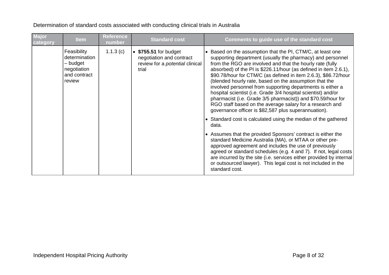| <b>Major</b><br>category | <b>Item</b>                                                                       | <b>Reference</b><br>number | <b>Standard cost</b>                                                                                         | Comments to guide use of the standard cost                                                                                                                                                                                                                                                                                                                                                                                                                                                                                                                                                                                                                                                                |
|--------------------------|-----------------------------------------------------------------------------------|----------------------------|--------------------------------------------------------------------------------------------------------------|-----------------------------------------------------------------------------------------------------------------------------------------------------------------------------------------------------------------------------------------------------------------------------------------------------------------------------------------------------------------------------------------------------------------------------------------------------------------------------------------------------------------------------------------------------------------------------------------------------------------------------------------------------------------------------------------------------------|
|                          | Feasibility<br>determination<br>- budget<br>negotiation<br>and contract<br>review | 1.1.3(c)                   | $\bullet$ \$755.51 for budget<br>negotiation and contract<br>review for a <i>potential</i> clinical<br>trial | • Based on the assumption that the PI, CTM/C, at least one<br>supporting department (usually the pharmacy) and personnel<br>from the RGO are involved and that the hourly rate (fully<br>absorbed) of the PI is \$226.11/hour (as defined in item 2.6.1),<br>\$90.78/hour for CTM/C (as defined in item 2.6.3), \$86.72/hour<br>(blended hourly rate, based on the assumption that the<br>involved personnel from supporting departments is either a<br>hospital scientist (i.e. Grade 3/4 hospital scientist) and/or<br>pharmacist (i.e. Grade 3/5 pharmacist)) and \$70.59/hour for<br>RGO staff based on the average salary for a research and<br>governance officer is \$82,587 plus superannuation). |
|                          |                                                                                   |                            |                                                                                                              | • Standard cost is calculated using the median of the gathered<br>data.                                                                                                                                                                                                                                                                                                                                                                                                                                                                                                                                                                                                                                   |
|                          |                                                                                   |                            |                                                                                                              | • Assumes that the provided Sponsors' contract is either the<br>standard Medicine Australia (MA), or MTAA or other pre-<br>approved agreement and includes the use of previously<br>agreed or standard schedules (e.g. 4 and 7). If not, legal costs<br>are incurred by the site (i.e. services either provided by internal)<br>or outsourced lawyer). This legal cost is not included in the<br>standard cost.                                                                                                                                                                                                                                                                                           |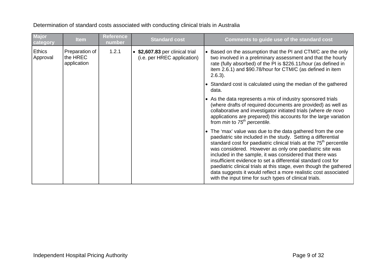| Major<br>category         | <b>Item</b>                               | <b>Reference</b><br>number | <b>Standard cost</b>                                           | Comments to guide use of the standard cost                                                                                                                                                                                                                                                                                                                                                                                                                                                                                                                                                                 |
|---------------------------|-------------------------------------------|----------------------------|----------------------------------------------------------------|------------------------------------------------------------------------------------------------------------------------------------------------------------------------------------------------------------------------------------------------------------------------------------------------------------------------------------------------------------------------------------------------------------------------------------------------------------------------------------------------------------------------------------------------------------------------------------------------------------|
| <b>Ethics</b><br>Approval | Preparation of<br>the HREC<br>application | 1.2.1                      | • \$2,607.83 per clinical trial<br>(i.e. per HREC application) | • Based on the assumption that the PI and CTM/C are the only<br>two involved in a preliminary assessment and that the hourly<br>rate (fully absorbed) of the PI is \$226.11/hour (as defined in<br>item 2.6.1) and \$90.78/hour for CTM/C (as defined in item<br>$2.6.3$ ).                                                                                                                                                                                                                                                                                                                                |
|                           |                                           |                            |                                                                | • Standard cost is calculated using the median of the gathered<br>data.                                                                                                                                                                                                                                                                                                                                                                                                                                                                                                                                    |
|                           |                                           |                            |                                                                | • As the data represents a mix of industry sponsored trials<br>(where drafts of required documents are provided) as well as<br>collaborative and investigator initiated trials (where de novo<br>applications are prepared) this accounts for the large variation<br>from <i>min</i> to $75th$ percentile.                                                                                                                                                                                                                                                                                                 |
|                           |                                           |                            |                                                                | • The 'max' value was due to the data gathered from the one<br>paediatric site included in the study. Setting a differential<br>standard cost for paediatric clinical trials at the 75 <sup>th</sup> percentile<br>was considered. However as only one paediatric site was<br>included in the sample, it was considered that there was<br>insufficient evidence to set a differential standard cost for<br>paediatric clinical trials at this stage, even though the gathered<br>data suggests it would reflect a more realistic cost associated<br>with the input time for such types of clinical trials. |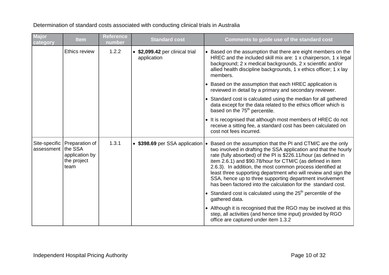**Major category Item Reference**  Reference<br>number **Standard cost Comments to guide use of the standard cost** Ethics review 1.2.2 • **\$2,099.42** per clinical trial application • Based on the assumption that there are eight members on the HREC and the included skill mix are: 1 x chairperson, 1 x legal background; 2 x medical backgrounds, 2 x scientific and/or allied health discipline backgrounds, 1 x ethics officer; 1 x lay members. • Based on the assumption that each HREC application is reviewed in detail by a primary and secondary reviewer. • Standard cost is calculated using the median for all gathered data except for the data related to the ethics officer which is based on the  $75<sup>th</sup>$  percentile. • It is recognised that although most members of HREC do not receive a sitting fee, a standard cost has been calculated on cost not fees incurred. Site-specific Preparation of assessment |the SSA application by the project team 1.3.1 • **\$398.69** per SSA application • Based on the assumption that the PI and CTM/C are the only two involved in drafting the SSA application and that the hourly rate (fully absorbed) of the PI is \$226.11/hour (as defined in item 2.6.1) and \$90.78/hour for CTM/C (as defined in item 2.6.3). In addition, the most common process identified at least three supporting department who will review and sign the SSA, hence up to three supporting department involvement has been factored into the calculation for the standard cost. • Standard cost is calculated using the  $25<sup>th</sup>$  percentile of the gathered data. • Although it is recognised that the RGO may be involved at this step, all activities (and hence time input) provided by RGO office are captured under item 1.3.2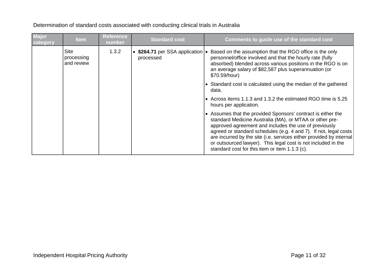| <b>Major</b><br>category | <b>Item</b>                             | <b>Reference</b><br>number | <b>Standard cost</b>                                | Comments to guide use of the standard cost                                                                                                                                                                                                                                                                                                                                                                                                      |
|--------------------------|-----------------------------------------|----------------------------|-----------------------------------------------------|-------------------------------------------------------------------------------------------------------------------------------------------------------------------------------------------------------------------------------------------------------------------------------------------------------------------------------------------------------------------------------------------------------------------------------------------------|
|                          | <b>Site</b><br>processing<br>and review | 1.3.2                      | • \$264.71 per SSA application $\cdot$<br>processed | Based on the assumption that the RGO office is the only<br>personnel/office involved and that the hourly rate (fully<br>absorbed) blended across various positions in the RGO is on<br>an average salary of \$82,587 plus superannuation (or<br>\$70.59/hour)                                                                                                                                                                                   |
|                          |                                         |                            |                                                     | • Standard cost is calculated using the median of the gathered<br>data.                                                                                                                                                                                                                                                                                                                                                                         |
|                          |                                         |                            |                                                     | • Across items 1.1.3 and 1.3.2 the estimated RGO time is 5.25<br>hours per application.                                                                                                                                                                                                                                                                                                                                                         |
|                          |                                         |                            |                                                     | • Assumes that the provided Sponsors' contract is either the<br>standard Medicine Australia (MA), or MTAA or other pre-<br>approved agreement and includes the use of previously<br>agreed or standard schedules (e.g. 4 and 7). If not, legal costs<br>are incurred by the site (i.e. services either provided by internal)<br>or outsourced lawyer). This legal cost is not included in the<br>standard cost for this item or item 1.1.3 (c). |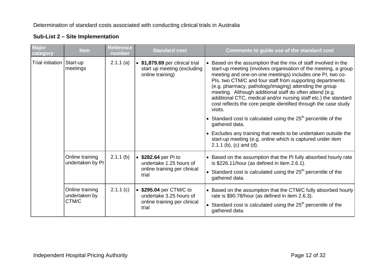| Major<br>category           | <b>Item</b>                         | <b>Reference</b><br>number | <b>Standard cost</b>                                                                        | Comments to guide use of the standard cost                                                                                                                                                                                                                                                                                                                                                                                                                                                                                                                                                              |
|-----------------------------|-------------------------------------|----------------------------|---------------------------------------------------------------------------------------------|---------------------------------------------------------------------------------------------------------------------------------------------------------------------------------------------------------------------------------------------------------------------------------------------------------------------------------------------------------------------------------------------------------------------------------------------------------------------------------------------------------------------------------------------------------------------------------------------------------|
| Trial initiation   Start-up | meetings                            | 2.1.1(a)                   | • \$1,879.69 per clinical trial<br>start up meeting (excluding<br>online training)          | • Based on the assumption that the mix of staff involved in the<br>start-up meeting (involves organisation of the meeting, a group<br>meeting and one-on-one meetings) includes one PI, two co-<br>PIs, two CTM/C and four staff from supporting departments<br>(e.g. pharmacy, pathology/imaging) attending the group<br>meeting. Although additional staff do often attend (e.g.<br>additional CTC, medical and/or nursing staff etc.) the standard<br>cost reflects the core people identified through the case study<br>visits.<br>• Standard cost is calculated using the $25th$ percentile of the |
|                             |                                     |                            |                                                                                             | gathered data.                                                                                                                                                                                                                                                                                                                                                                                                                                                                                                                                                                                          |
|                             |                                     |                            |                                                                                             | • Excludes any training that needs to be undertaken outside the<br>start-up meeting (e.g. online which is captured under item<br>$2.1.1$ (b), (c) and (d).                                                                                                                                                                                                                                                                                                                                                                                                                                              |
|                             | Online training<br>undertaken by PI | $2.1.1$ (b)                | • \$282.64 per PI to<br>undertake 1.25 hours of                                             | • Based on the assumption that the PI fully absorbed hourly rate<br>is \$226.11/hour (as defined in item 2.6.1).                                                                                                                                                                                                                                                                                                                                                                                                                                                                                        |
|                             |                                     |                            | online training per clinical<br>trial                                                       | • Standard cost is calculated using the $25th$ percentile of the<br>gathered data.                                                                                                                                                                                                                                                                                                                                                                                                                                                                                                                      |
|                             | Online training<br>undertaken by    | 2.1.1(c)                   | • \$295.04 per CTM/C to<br>undertake 3.25 hours of<br>online training per clinical<br>trial | • Based on the assumption that the CTM/C fully absorbed hourly<br>rate is \$90.78/hour (as defined in item 2.6.3).                                                                                                                                                                                                                                                                                                                                                                                                                                                                                      |
|                             | CTM/C                               |                            |                                                                                             | • Standard cost is calculated using the $25th$ percentile of the<br>gathered data.                                                                                                                                                                                                                                                                                                                                                                                                                                                                                                                      |

### **Sub-List 2 – Site Implementation**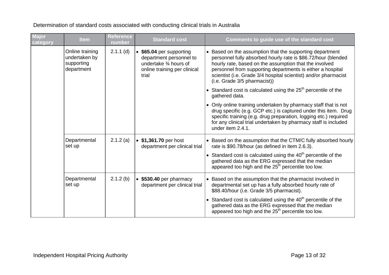**Major category Item Reference number Standard cost Comments to guide use of the standard cost** Online training undertaken by supporting department 2.1.1 (d) • **\$65.04** per supporting department personnel to undertake ¾ hours of online training per clinical trial • Based on the assumption that the supporting department personnel fully absorbed hourly rate is \$86.72/hour (blended hourly rate, based on the assumption that the involved personnel from supporting departments is either a hospital scientist (i.e. Grade 3/4 hospital scientist) and/or pharmacist (i.e. Grade 3/5 pharmacist)) • Standard cost is calculated using the  $25<sup>th</sup>$  percentile of the gathered data. • Only online training undertaken by pharmacy staff that is not drug specific (e.g. GCP etc.) is captured under this item. Drug specific training (e.g. drug preparation, logging etc.) required for any clinical trial undertaken by pharmacy staff is included under item 2.4.1. **Departmental** set up 2.1.2 (a) • **\$1,361.70** per host department per clinical trial • Based on the assumption that the CTM/C fully absorbed hourly rate is \$90.78/hour (as defined in item 2.6.3). • Standard cost is calculated using the  $40<sup>th</sup>$  percentile of the gathered data as the ERG expressed that the median appeared too high and the  $25<sup>th</sup>$  percentile too low. **Departmental** set up 2.1.2 (b) • **\$530.40** per pharmacy department per clinical trial • Based on the assumption that the pharmacist involved in departmental set up has a fully absorbed hourly rate of \$88.40/hour (i.e. Grade 3/5 pharmacist). • Standard cost is calculated using the  $40<sup>th</sup>$  percentile of the gathered data as the ERG expressed that the median appeared too high and the  $25<sup>th</sup>$  percentile too low.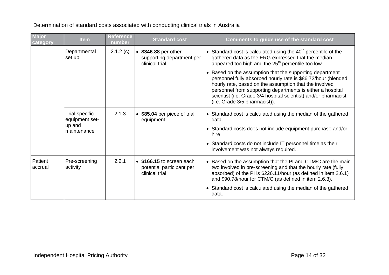| Major<br>category  | <b>Item</b>                      | <b>Reference</b><br>number | <b>Standard cost</b>                                                     | Comments to guide use of the standard cost                                                                                                                                                                                                                                                                                                            |
|--------------------|----------------------------------|----------------------------|--------------------------------------------------------------------------|-------------------------------------------------------------------------------------------------------------------------------------------------------------------------------------------------------------------------------------------------------------------------------------------------------------------------------------------------------|
|                    | Departmental<br>set up           | 2.1.2(c)                   | • \$346.88 per other<br>supporting department per<br>clinical trial      | • Standard cost is calculated using the $40th$ percentile of the<br>gathered data as the ERG expressed that the median<br>appeared too high and the 25 <sup>th</sup> percentile too low.                                                                                                                                                              |
|                    |                                  |                            |                                                                          | • Based on the assumption that the supporting department<br>personnel fully absorbed hourly rate is \$86.72/hour (blended<br>hourly rate, based on the assumption that the involved<br>personnel from supporting departments is either a hospital<br>scientist (i.e. Grade 3/4 hospital scientist) and/or pharmacist<br>(i.e. Grade 3/5 pharmacist)). |
|                    | Trial specific<br>equipment set- | 2.1.3                      | • \$85.04 per piece of trial<br>equipment                                | • Standard cost is calculated using the median of the gathered<br>data.                                                                                                                                                                                                                                                                               |
|                    | up and<br>maintenance            |                            |                                                                          | • Standard costs does not include equipment purchase and/or<br>hire                                                                                                                                                                                                                                                                                   |
|                    |                                  |                            |                                                                          | • Standard costs do not include IT personnel time as their<br>involvement was not always required.                                                                                                                                                                                                                                                    |
| Patient<br>accrual | Pre-screening<br>activity        | 2.2.1                      | • \$166.15 to screen each<br>potential participant per<br>clinical trial | • Based on the assumption that the PI and CTM/C are the main<br>two involved in pre-screening and that the hourly rate (fully<br>absorbed) of the PI is \$226.11/hour (as defined in item 2.6.1)<br>and \$90.78/hour for CTM/C (as defined in item 2.6.3).                                                                                            |
|                    |                                  |                            |                                                                          | • Standard cost is calculated using the median of the gathered<br>data.                                                                                                                                                                                                                                                                               |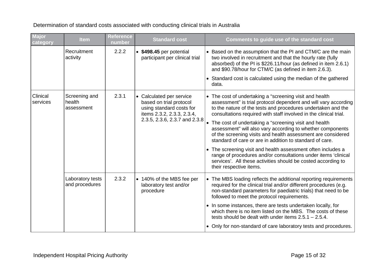**Major category Item Reference number Standard cost Comments to guide use of the standard cost Recruitment** activity 2.2.2 • **\$498.45** per potential participant per clinical trial • Based on the assumption that the PI and CTM/C are the main two involved in recruitment and that the hourly rate (fully absorbed) of the PI is \$226.11/hour (as defined in item 2.6.1) and \$90.78/hour for CTM/C (as defined in item 2.6.3). • Standard cost is calculated using the median of the gathered data. Clinical services Screening and health assessment 2.3.1 • Calculated per service based on trial protocol using standard costs for items 2.3.2, 2.3.3, 2.3.4, 2.3.5, 2.3.6, 2.3.7 and 2.3.8 • The cost of undertaking a "screening visit and health assessment" is trial protocol dependent and will vary according to the nature of the tests and procedures undertaken and the consultations required with staff involved in the clinical trial. • The cost of undertaking a "screening visit and health assessment" will also vary according to whether components of the screening visits and health assessment are considered standard of care or are in addition to standard of care. • The screening visit and health assessment often includes a range of procedures and/or consultations under items 'clinical services'. All these activities should be costed according to their respective items. Laboratory tests and procedures 2.3.2  $\bullet$  140% of the MBS fee per laboratory test and/or procedure • The MBS loading reflects the additional reporting requirements required for the clinical trial and/or different procedures (e.g. non-standard parameters for paediatric trials) that need to be followed to meet the protocol requirements. • In some instances, there are tests undertaken locally, for which there is no item listed on the MBS. The costs of these tests should be dealt with under items 2.5.1 – 2.5.4. • Only for non-standard of care laboratory tests and procedures.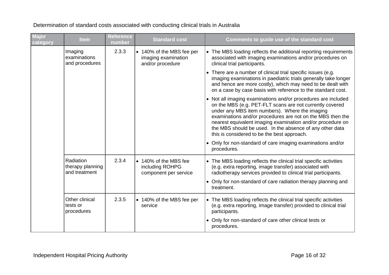| Major<br>category | <b>Item</b>                                    | <b>Reference</b><br>number | <b>Standard cost</b>                                                 | Comments to guide use of the standard cost                                                                                                                                                                                                                                                                                                                                                                         |
|-------------------|------------------------------------------------|----------------------------|----------------------------------------------------------------------|--------------------------------------------------------------------------------------------------------------------------------------------------------------------------------------------------------------------------------------------------------------------------------------------------------------------------------------------------------------------------------------------------------------------|
|                   | Imaging<br>examinations<br>and procedures      | 2.3.3                      | • 140% of the MBS fee per<br>imaging examination<br>and/or procedure | • The MBS loading reflects the additional reporting requirements<br>associated with imaging examinations and/or procedures on<br>clinical trial participants.                                                                                                                                                                                                                                                      |
|                   |                                                |                            |                                                                      | • There are a number of clinical trial specific issues (e.g.<br>imaging examinations in paediatric trials generally take longer<br>and hence are more costly), which may need to be dealt with<br>on a case by case basis with reference to the standard cost.                                                                                                                                                     |
|                   |                                                |                            |                                                                      | • Not all imaging examinations and/or procedures are included<br>on the MBS (e.g. PET-FLT scans are not currently covered<br>under any MBS item numbers). Where the imaging<br>examinations and/or procedures are not on the MBS then the<br>nearest equivalent imaging examination and/or procedure on<br>the MBS should be used. In the absence of any other data<br>this is considered to be the best approach. |
|                   |                                                |                            |                                                                      | • Only for non-standard of care imaging examinations and/or<br>procedures.                                                                                                                                                                                                                                                                                                                                         |
|                   | Radiation<br>therapy planning<br>and treatment | 2.3.4                      | • 140% of the MBS fee<br>including ROHPG<br>component per service    | • The MBS loading reflects the clinical trial specific activities<br>(e.g. extra reporting, image transfer) associated with<br>radiotherapy services provided to clinical trial participants.<br>• Only for non-standard of care radiation therapy planning and                                                                                                                                                    |
|                   |                                                |                            |                                                                      | treatment.                                                                                                                                                                                                                                                                                                                                                                                                         |
|                   | Other clinical<br>tests or<br>procedures       | 2.3.5                      | • 140% of the MBS fee per<br>service                                 | • The MBS loading reflects the clinical trial specific activities<br>(e.g. extra reporting, image transfer) provided to clinical trial<br>participants.                                                                                                                                                                                                                                                            |
|                   |                                                |                            |                                                                      | • Only for non-standard of care other clinical tests or<br>procedures.                                                                                                                                                                                                                                                                                                                                             |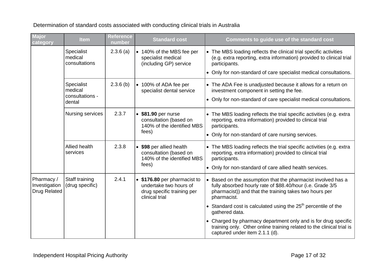| <b>Major</b><br>category                    | <b>Item</b>                                        | <b>Reference</b><br>number | <b>Standard cost</b>                                                                                   | Comments to guide use of the standard cost                                                                                                                                                                                      |
|---------------------------------------------|----------------------------------------------------|----------------------------|--------------------------------------------------------------------------------------------------------|---------------------------------------------------------------------------------------------------------------------------------------------------------------------------------------------------------------------------------|
|                                             | Specialist<br>medical<br>consultations             | 2.3.6(a)                   | • 140% of the MBS fee per<br>specialist medical<br>(including GP) service                              | • The MBS loading reflects the clinical trial specific activities<br>(e.g. extra reporting, extra information) provided to clinical trial<br>participants.<br>• Only for non-standard of care specialist medical consultations. |
|                                             | Specialist<br>medical<br>consultations -<br>dental | $2.3.6$ (b)                | • 100% of ADA fee per<br>specialist dental service                                                     | • The ADA Fee is unadjusted because it allows for a return on<br>investment component in setting the fee.<br>• Only for non-standard of care specialist medical consultations.                                                  |
|                                             | Nursing services                                   | 2.3.7                      | • \$81.90 per nurse<br>consultation (based on<br>140% of the identified MBS<br>fees)                   | • The MBS loading reflects the trial specific activities (e.g. extra<br>reporting, extra information) provided to clinical trial<br>participants.<br>• Only for non-standard of care nursing services.                          |
|                                             | Allied health<br>services                          | 2.3.8                      | • \$98 per allied health<br>consultation (based on<br>140% of the identified MBS<br>fees)              | • The MBS loading reflects the trial specific activities (e.g. extra<br>reporting, extra information) provided to clinical trial<br>participants.<br>• Only for non-standard of care allied health services.                    |
| Pharmacy /<br>Investigation<br>Drug Related | Staff training<br>(drug specific)                  | 2.4.1                      | • \$176.80 per pharmacist to<br>undertake two hours of<br>drug specific training per<br>clinical trial | • Based on the assumption that the pharmacist involved has a<br>fully absorbed hourly rate of \$88.40/hour (i.e. Grade 3/5<br>pharmacist)) and that the training takes two hours per<br>pharmacist.                             |
|                                             |                                                    |                            |                                                                                                        | • Standard cost is calculated using the $25th$ percentile of the<br>gathered data.                                                                                                                                              |
|                                             |                                                    |                            |                                                                                                        | • Charged by pharmacy department only and is for drug specific<br>training only. Other online training related to the clinical trial is<br>captured under item 2.1.1 (d).                                                       |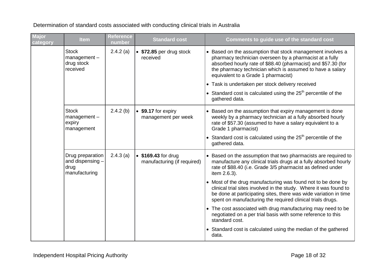**Major category Item Reference number Standard cost Comments to guide use of the standard cost Stock** management – drug stock received 2.4.2 (a) • **\$72.85** per drug stock received • Based on the assumption that stock management involves a pharmacy technician overseen by a pharmacist at a fully absorbed hourly rate of \$88.40 (pharmacist) and \$57.30 (for the pharmacy technician which is assumed to have a salary equivalent to a Grade 1 pharmacist) • Task is undertaken per stock delivery received  $\bullet$  Standard cost is calculated using the 25<sup>th</sup> percentile of the gathered data. **Stock** management – expiry management 2.4.2 (b)  $\bullet$  \$9.17 for expiry management per week • Based on the assumption that expiry management is done weekly by a pharmacy technician at a fully absorbed hourly rate of \$57.30 (assumed to have a salary equivalent to a Grade 1 pharmacist) • Standard cost is calculated using the  $25<sup>th</sup>$  percentile of the gathered data. Drug preparation and dispensing – drug manufacturing 2.4.3 (a) • **\$169.43** for drug manufacturing (if required) • Based on the assumption that two pharmacists are required to manufacture any clinical trials drugs at a fully absorbed hourly rate of \$88.40 (i.e. Grade 3/5 pharmacist as defined under item 2.6.3). • Most of the drug manufacturing was found not to be done by clinical trial sites involved in the study. Where it was found to be done at participating sites, there was wide variation in time spent on manufacturing the required clinical trials drugs. • The cost associated with drug manufacturing may need to be negotiated on a per trial basis with some reference to this standard cost. • Standard cost is calculated using the median of the gathered data.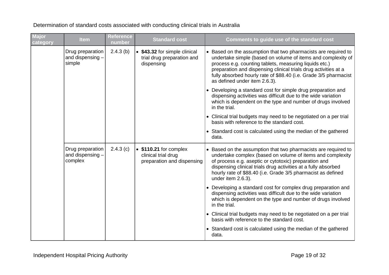**Major category Item Reference number Standard cost Comments to guide use of the standard cost** Drug preparation and dispensing – simple 2.4.3 (b) • **\$43.32** for simple clinical trial drug preparation and dispensing • Based on the assumption that two pharmacists are required to undertake simple (based on volume of items and complexity of process e.g. counting tablets, measuring liquids etc.) preparation and dispensing clinical trials drug activities at a fully absorbed hourly rate of \$88.40 (i.e. Grade 3/5 pharmacist as defined under item 2.6.3). • Developing a standard cost for simple drug preparation and dispensing activities was difficult due to the wide variation which is dependent on the type and number of drugs involved in the trial. • Clinical trial budgets may need to be negotiated on a per trial basis with reference to the standard cost. • Standard cost is calculated using the median of the gathered data. Drug preparation and dispensing – complex 2.4.3 (c) • **\$110.21** for complex clinical trial drug preparation and dispensing • Based on the assumption that two pharmacists are required to undertake complex (based on volume of items and complexity of process e.g. aseptic or cytotoxic) preparation and dispensing clinical trials drug activities at a fully absorbed hourly rate of \$88.40 (i.e. Grade 3/5 pharmacist as defined under item 2.6.3). • Developing a standard cost for complex drug preparation and dispensing activities was difficult due to the wide variation which is dependent on the type and number of drugs involved in the trial. • Clinical trial budgets may need to be negotiated on a per trial basis with reference to the standard cost. • Standard cost is calculated using the median of the gathered data.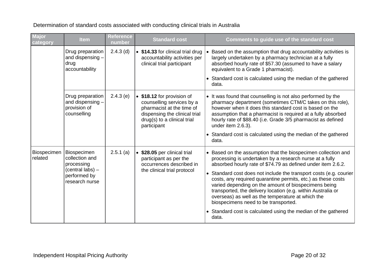**Major category Item Reference number Standard cost Comments to guide use of the standard cost** Drug preparation and dispensing – drug accountability 2.4.3 (d)  $\bullet$  **\$14.33** for clinical trial drug accountability activities per clinical trial participant • Based on the assumption that drug accountability activities is largely undertaken by a pharmacy technician at a fully absorbed hourly rate of \$57.30 (assumed to have a salary equivalent to a Grade 1 pharmacist). • Standard cost is calculated using the median of the gathered data. Drug preparation and dispensing – provision of counselling 2.4.3 (e) • **\$18.12** for provision of counselling services by a pharmacist at the time of dispensing the clinical trial drug(s) to a clinical trial participant • It was found that counselling is not also performed by the pharmacy department (sometimes CTM/C takes on this role), however when it does this standard cost is based on the assumption that a pharmacist is required at a fully absorbed hourly rate of \$88.40 (i.e. Grade 3/5 pharmacist as defined under item 2.6.3). • Standard cost is calculated using the median of the gathered data. Biospecimen related Biospecimen collection and processing (central labs) – performed by research nurse 2.5.1 (a) • **\$28.05** per clinical trial participant as per the occurrences described in the clinical trial protocol • Based on the assumption that the biospecimen collection and processing is undertaken by a research nurse at a fully absorbed hourly rate of \$74.79 as defined under item 2.6.2. • Standard cost does not include the transport costs (e.g. courier costs, any required quarantine permits, etc.) as these costs varied depending on the amount of biospecimens being transported, the delivery location (e.g. within Australia or overseas) as well as the temperature at which the biospecimens need to be transported. • Standard cost is calculated using the median of the gathered data.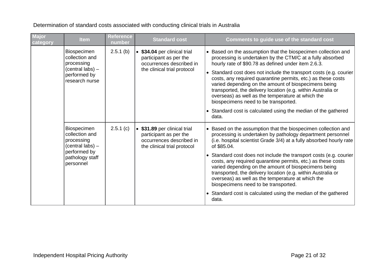**Major category Item Reference number Standard cost Comments to guide use of the standard cost** Biospecimen collection and processing (central labs) – performed by research nurse 2.5.1 (b) • **\$34.04** per clinical trial participant as per the occurrences described in the clinical trial protocol • Based on the assumption that the biospecimen collection and processing is undertaken by the CTM/C at a fully absorbed hourly rate of \$90.78 as defined under item 2.6.3. • Standard cost does not include the transport costs (e.g. courier costs, any required quarantine permits, etc.) as these costs varied depending on the amount of biospecimens being transported, the delivery location (e.g. within Australia or overseas) as well as the temperature at which the biospecimens need to be transported. • Standard cost is calculated using the median of the gathered data. Biospecimen collection and processing (central labs) – performed by pathology staff personnel 2.5.1 (c) • **\$31.89** per clinical trial participant as per the occurrences described in the clinical trial protocol • Based on the assumption that the biospecimen collection and processing is undertaken by pathology department personnel (i.e. hospital scientist Grade 3/4) at a fully absorbed hourly rate of \$85.04. • Standard cost does not include the transport costs (e.g. courier costs, any required quarantine permits, etc.) as these costs varied depending on the amount of biospecimens being transported, the delivery location (e.g. within Australia or overseas) as well as the temperature at which the biospecimens need to be transported. • Standard cost is calculated using the median of the gathered data.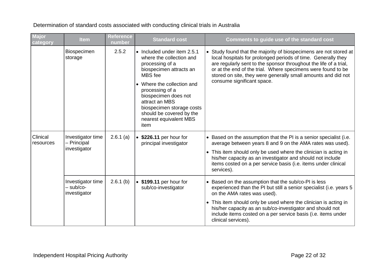**Major category Item Reference number Standard cost Comments to guide use of the standard cost** Biospecimen storage 2.5.2 • Included under item 2.5.1 where the collection and processing of a biospecimen attracts an MBS fee • Where the collection and processing of a biospecimen does not attract an MBS biospecimen storage costs should be covered by the nearest equivalent MBS item • Study found that the majority of biospecimens are not stored at local hospitals for prolonged periods of time. Generally they are regularly sent to the sponsor throughout the life of a trial, or at the end of the trial. Where specimens were found to be stored on site, they were generally small amounts and did not consume significant space. Clinical resources Investigator time – Principal investigator 2.6.1 (a) • **\$226.11** per hour for principal investigator • Based on the assumption that the PI is a senior specialist (i.e. average between years 8 and 9 on the AMA rates was used). • This item should only be used where the clinician is acting in his/her capacity as an investigator and should not include items costed on a per service basis (i.e. items under clinical services). Investigator time – sub/coinvestigator 2.6.1 (b) • **\$199.11** per hour for sub/co-investigator • Based on the assumption that the sub/co-PI is less experienced than the PI but still a senior specialist (i.e. years 5 on the AMA rates was used). • This item should only be used where the clinician is acting in his/her capacity as an sub/co-investigator and should not include items costed on a per service basis (i.e. items under clinical services).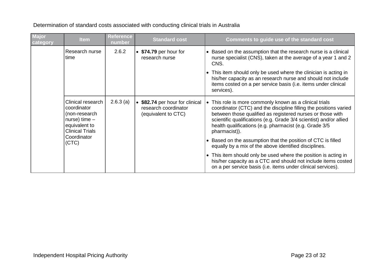| Major<br>category | <b>Item</b>                                                                                                     | <b>Reference</b><br>number | <b>Standard cost</b>                                                         | Comments to guide use of the standard cost                                                                                                                                                                                                                                                                                                      |
|-------------------|-----------------------------------------------------------------------------------------------------------------|----------------------------|------------------------------------------------------------------------------|-------------------------------------------------------------------------------------------------------------------------------------------------------------------------------------------------------------------------------------------------------------------------------------------------------------------------------------------------|
|                   | Research nurse<br>time                                                                                          | 2.6.2                      | • \$74.79 per hour for<br>research nurse                                     | • Based on the assumption that the research nurse is a clinical<br>nurse specialist (CNS), taken at the average of a year 1 and 2<br>CNS.<br>• This item should only be used where the clinician is acting in<br>his/her capacity as an research nurse and should not include<br>items costed on a per service basis (i.e. items under clinical |
|                   |                                                                                                                 |                            |                                                                              | services).                                                                                                                                                                                                                                                                                                                                      |
|                   | Clinical research<br>coordinator<br>(non-research<br>nurse) time $-$<br>equivalent to<br><b>Clinical Trials</b> | 2.6.3(a)                   | \$82.74 per hour for clinical<br>research coordinator<br>(equivalent to CTC) | • This role is more commonly known as a clinical trials<br>coordinator (CTC) and the discipline filling the positions varied<br>between those qualified as registered nurses or those with<br>scientific qualifications (e.g. Grade 3/4 scientist) and/or allied<br>health qualifications (e.g. pharmacist (e.g. Grade 3/5)<br>pharmacist)).    |
|                   | Coordinator<br>(CTC)                                                                                            |                            |                                                                              | • Based on the assumption that the position of CTC is filled<br>equally by a mix of the above identified disciplines.                                                                                                                                                                                                                           |
|                   |                                                                                                                 |                            |                                                                              | • This item should only be used where the position is acting in<br>his/her capacity as a CTC and should not include items costed<br>on a per service basis (i.e. items under clinical services).                                                                                                                                                |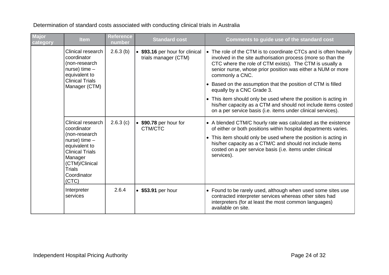**Major category Item Reference number Standard cost Comments to guide use of the standard cost** Clinical research coordinator (non-research nurse) time – equivalent to Clinical Trials Manager (CTM) 2.6.3 (b) • **\$93.16** per hour for clinical trials manager (CTM) • The role of the CTM is to coordinate CTCs and is often heavily involved in the site authorisation process (more so than the CTC where the role of CTM exists). The CTM is usually a senior nurse, whose prior position was either a NUM or more commonly a CNC. • Based on the assumption that the position of CTM is filled equally by a CNC Grade 3. • This item should only be used where the position is acting in his/her capacity as a CTM and should not include items costed on a per service basis (i.e. items under clinical services). Clinical research coordinator (non-research nurse) time – equivalent to Clinical Trials **Manager** (CTM)/Clinical Trials **Coordinator** (CTC) 2.6.3 (c) • **\$90.78** per hour for CTM/CTC • A blended CTM/C hourly rate was calculated as the existence of either or both positions within hospital departments varies. • This item should only be used where the position is acting in his/her capacity as a CTM/C and should not include items costed on a per service basis (i.e. items under clinical services). Interpreter services 2.6.4 • \$53.91 per hour • **•** Found to be rarely used, although when used some sites use contracted interpreter services whereas other sites had interpreters (for at least the most common languages) available on site.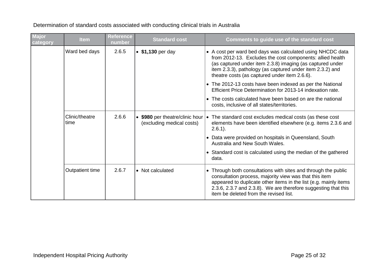| Major<br>category | <b>Item</b>            | <b>Reference</b><br>number | <b>Standard cost</b>                                         | Comments to guide use of the standard cost                                                                                                                                                                                                                                                               |
|-------------------|------------------------|----------------------------|--------------------------------------------------------------|----------------------------------------------------------------------------------------------------------------------------------------------------------------------------------------------------------------------------------------------------------------------------------------------------------|
|                   | Ward bed days          | 2.6.5                      | • \$1,130 per day                                            | • A cost per ward bed days was calculated using NHCDC data<br>from 2012-13. Excludes the cost components: allied health<br>(as captured under item 2.3.8) imaging (as captured under<br>item 2.3.3), pathology (as captured under item 2.3.2) and<br>theatre costs (as captured under item 2.6.6).       |
|                   |                        |                            |                                                              | • The 2012-13 costs have been indexed as per the National<br>Efficient Price Determination for 2013-14 indexation rate.                                                                                                                                                                                  |
|                   |                        |                            |                                                              | • The costs calculated have been based on are the national<br>costs, inclusive of all states/territories.                                                                                                                                                                                                |
|                   | Clinic/theatre<br>time | 2.6.6                      | • \$980 per theatre/clinic hour<br>(excluding medical costs) | • The standard cost excludes medical costs (as these cost<br>elements have been identified elsewhere (e.g. items 2.3.6 and<br>$2.6.1$ ).                                                                                                                                                                 |
|                   |                        |                            |                                                              | • Data were provided on hospitals in Queensland, South<br>Australia and New South Wales.                                                                                                                                                                                                                 |
|                   |                        |                            |                                                              | • Standard cost is calculated using the median of the gathered<br>data.                                                                                                                                                                                                                                  |
|                   | Outpatient time        | 2.6.7                      | • Not calculated                                             | • Through both consultations with sites and through the public<br>consultation process, majority view was that this item<br>appeared to duplicate other items in the list (e.g. mainly items<br>2.3.6, 2.3.7 and 2.3.8). We are therefore suggesting that this<br>item be deleted from the revised list. |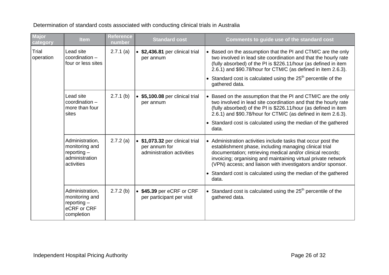| Major<br>category  | <b>Item</b>                                                                        | <b>Reference</b><br>number | <b>Standard cost</b>                                                        | Comments to guide use of the standard cost                                                                                                                                                                                                                                                                                                                                                        |
|--------------------|------------------------------------------------------------------------------------|----------------------------|-----------------------------------------------------------------------------|---------------------------------------------------------------------------------------------------------------------------------------------------------------------------------------------------------------------------------------------------------------------------------------------------------------------------------------------------------------------------------------------------|
| Trial<br>operation | Lead site<br>$coordination -$<br>four or less sites                                | 2.7.1(a)                   | • \$2,436.81 per clinical trial<br>per annum                                | • Based on the assumption that the PI and CTM/C are the only<br>two involved in lead site coordination and that the hourly rate<br>(fully absorbed) of the PI is \$226.11/hour (as defined in item<br>2.6.1) and \$90.78/hour for CTM/C (as defined in item 2.6.3).                                                                                                                               |
|                    |                                                                                    |                            |                                                                             | • Standard cost is calculated using the $25th$ percentile of the<br>gathered data.                                                                                                                                                                                                                                                                                                                |
|                    | Lead site<br>$coordination -$<br>more than four<br>sites                           | $2.7.1$ (b)                | • \$5,100.08 per clinical trial<br>per annum                                | • Based on the assumption that the PI and CTM/C are the only<br>two involved in lead site coordination and that the hourly rate<br>(fully absorbed) of the PI is \$226.11/hour (as defined in item<br>2.6.1) and \$90.78/hour for CTM/C (as defined in item 2.6.3).<br>• Standard cost is calculated using the median of the gathered<br>data.                                                    |
|                    | Administration,<br>monitoring and<br>$reporting -$<br>administration<br>activities | 2.7.2(a)                   | \$1,073.32 per clinical trial<br>per annum for<br>administration activities | • Administration activities include tasks that occur post the<br>establishment phase, including managing clinical trial<br>documentation; retrieving medical and/or clinical records;<br>invoicing; organising and maintaining virtual private network<br>(VPN) access; and liaison with investigators and/or sponsor.<br>• Standard cost is calculated using the median of the gathered<br>data. |
|                    | Administration,<br>monitoring and<br>reporting $-$<br>eCRF or CRF<br>completion    | 2.7.2(b)                   | • \$45.39 per eCRF or CRF<br>per participant per visit                      | • Standard cost is calculated using the $25th$ percentile of the<br>gathered data.                                                                                                                                                                                                                                                                                                                |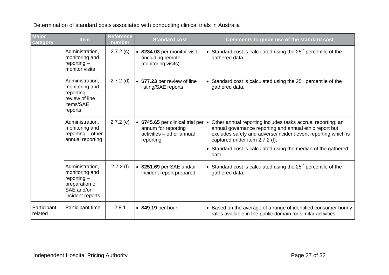| <b>Major</b><br>category | <b>Item</b>                                                                                            | <b>Reference</b><br>number | <b>Standard cost</b>                                                                                       | Comments to guide use of the standard cost                                                                                                                                                                                                                                                           |
|--------------------------|--------------------------------------------------------------------------------------------------------|----------------------------|------------------------------------------------------------------------------------------------------------|------------------------------------------------------------------------------------------------------------------------------------------------------------------------------------------------------------------------------------------------------------------------------------------------------|
|                          | Administration,<br>monitoring and<br>$reporting -$<br>monitor visits                                   | 2.7.2(c)                   | • \$234.03 per monitor visit<br>(including remote<br>monitoring visits)                                    | • Standard cost is calculated using the $25th$ percentile of the<br>gathered data.                                                                                                                                                                                                                   |
|                          | Administration,<br>monitoring and<br>reporting $-$<br>review of line<br>items/SAE<br>reports           | $2.7.2$ (d)                | • \$77.23 per review of line<br>listing/SAE reports                                                        | • Standard cost is calculated using the $25th$ percentile of the<br>gathered data.                                                                                                                                                                                                                   |
|                          | Administration,<br>monitoring and<br>reporting $-$ other<br>annual reporting                           | 2.7.2(e)                   | • \$745.65 per clinical trial per $\cdot$<br>annum for reporting<br>activities - other annual<br>reporting | Other annual reporting includes tasks accrual reporting; an<br>annual governance reporting and annual ethic report but<br>excludes safety and adverse/incident event reporting which is<br>captured under item 2.7.2 (f).<br>• Standard cost is calculated using the median of the gathered<br>data. |
|                          | Administration,<br>monitoring and<br>reporting $-$<br>preparation of<br>SAE and/or<br>incident reports | 2.7.2(f)                   | • \$251.69 per SAE and/or<br>incident report prepared                                                      | • Standard cost is calculated using the $25th$ percentile of the<br>gathered data.                                                                                                                                                                                                                   |
| Participant<br>related   | Participant time                                                                                       | 2.8.1                      | • \$49.19 per hour                                                                                         | • Based on the average of a range of identified consumer hourly<br>rates available in the public domain for similar activities.                                                                                                                                                                      |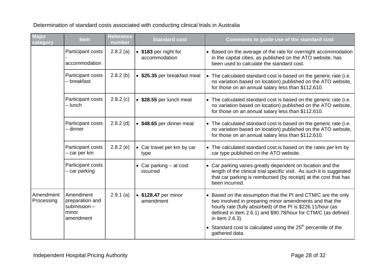| <b>Major</b><br>category | <b>Item</b>                                                        | <b>Reference</b><br>number | <b>Standard cost</b>                   | Comments to guide use of the standard cost                                                                                                                                                                                                                                 |
|--------------------------|--------------------------------------------------------------------|----------------------------|----------------------------------------|----------------------------------------------------------------------------------------------------------------------------------------------------------------------------------------------------------------------------------------------------------------------------|
|                          | Participant costs<br>accommodation                                 | $2.8.2$ (a)                | • \$183 per night for<br>accommodation | • Based on the average of the rate for overnight accommodation<br>in the capital cities, as published on the ATO website, has<br>been used to calculate the standard cost.                                                                                                 |
|                          | Participant costs<br>- breakfast                                   | $2.8.2$ (b)                | • \$25.35 per breakfast meal           | • The calculated standard cost is based on the generic rate (i.e.<br>no variation based on location) published on the ATO website,<br>for those on an annual salary less than \$112,610.                                                                                   |
|                          | Participant costs<br>- lunch                                       | 2.8.2(c)                   | • \$28.55 per lunch meal               | • The calculated standard cost is based on the generic rate (i.e.<br>no variation based on location) published on the ATO website,<br>for those on an annual salary less than \$112,610.                                                                                   |
|                          | Participant costs<br>- dinner                                      | $2.8.2$ (d)                | • \$48.65 per dinner meal              | • The calculated standard cost is based on the generic rate (i.e.<br>no variation based on location) published on the ATO website,<br>for those on an annual salary less than \$112,610.                                                                                   |
|                          | Participant costs<br>- car per km                                  | $2.8.2$ (e)                | • Car travel per km by car<br>type     | • The calculated standard cost is based on the rates per km by<br>car type published on the ATO website.                                                                                                                                                                   |
|                          | Participant costs<br>- car parking                                 |                            | • Car parking $-$ at cost<br>incurred  | • Car parking varies greatly dependent on location and the<br>length of the clinical trial specific visit. As such it is suggested<br>that car parking is reimbursed (by receipt) at the cost that has<br>been incurred.                                                   |
| Amendment<br>Processing  | Amendment<br>preparation and<br>submission -<br>minor<br>amendment | 2.9.1(a)                   | • \$128.47 per minor<br>amendment      | • Based on the assumption that the PI and CTM/C are the only<br>two involved in preparing minor amendments and that the<br>hourly rate (fully absorbed) of the PI is \$226.11/hour (as<br>defined in item 2.6.1) and \$90.78/hour for CTM/C (as defined<br>in item 2.6.3). |
|                          |                                                                    |                            |                                        | • Standard cost is calculated using the $25th$ percentile of the<br>gathered data.                                                                                                                                                                                         |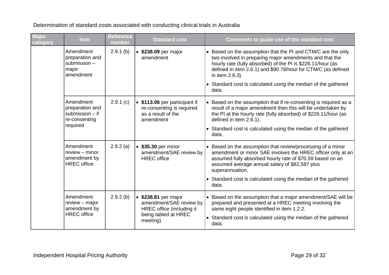**Major category Item Reference number Standard cost Comments to guide use of the standard cost** Amendment preparation and submission – major amendment 2.9.1 (b) • **\$238.09** per major amendment • Based on the assumption that the PI and CTM/C are the only two involved in preparing major amendments and that the hourly rate (fully absorbed) of the PI is \$226.11/hour (as defined in item 2.6.1) and \$90.78/hour for CTM/C (as defined in item 2.6.3). • Standard cost is calculated using the median of the gathered data. Amendment preparation and submission – if re-consenting required 2.9.1 (c) • **\$113.06** per participant if re-consenting is required as a result of the amendment • Based on the assumption that if re-consenting is required as a result of a major amendment then this will be undertaken by the PI at the hourly rate (fully absorbed) of \$226.11/hour (as defined in item 2.6.1). • Standard cost is calculated using the median of the gathered data. Amendment review – minor amendment by HREC office 2.9.2 (a) • **\$35.30** per minor amendment/SAE review by HREC office • Based on the assumption that review/processing of a minor amendment or minor SAE involves the HREC officer only at an assumed fully absorbed hourly rate of \$70.59 based on an assumed average annual salary of \$82,587 plus superannuation. • Standard cost is calculated using the median of the gathered data. Amendment review – major amendment by HREC office 2.9.2 (b) • **\$238.81** per major amendment/SAE review by HREC office (including it being tabled at HREC meeting) • Based on the assumption that a major amendment/SAE will be prepared and presented at a HREC meeting involving the same eight people identified in item 1.2.2. • Standard cost is calculated using the median of the gathered data.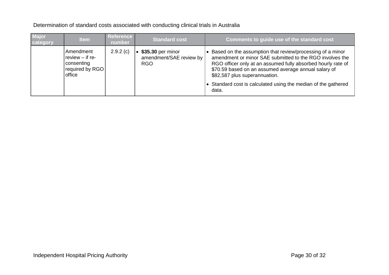| <b>Major</b><br>category | <b>Item</b>                                                               | <b>Reference</b><br>number | <b>Standard cost</b>                                       | Comments to guide use of the standard cost                                                                                                                                                                                                                                                                                                                |
|--------------------------|---------------------------------------------------------------------------|----------------------------|------------------------------------------------------------|-----------------------------------------------------------------------------------------------------------------------------------------------------------------------------------------------------------------------------------------------------------------------------------------------------------------------------------------------------------|
|                          | Amendment<br>review $-$ if re-<br>consenting<br>required by RGO<br>office | 2.9.2(c)                   | \$35.30 per minor<br>amendment/SAE review by<br><b>RGO</b> | Based on the assumption that review/processing of a minor<br>amendment or minor SAE submitted to the RGO involves the<br>RGO officer only at an assumed fully absorbed hourly rate of<br>\$70.59 based on an assumed average annual salary of<br>\$82,587 plus superannuation.<br>• Standard cost is calculated using the median of the gathered<br>data. |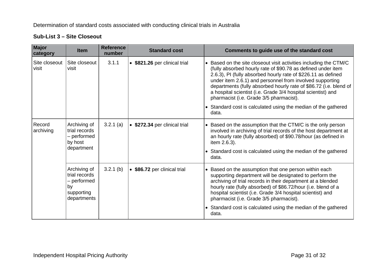#### **Sub-List 3 – Site Closeout**

| <b>Major</b><br>category | <b>Item</b>                                                                     | <b>Reference</b><br>number | <b>Standard cost</b>          | Comments to guide use of the standard cost                                                                                                                                                                                                                                                                                                                                                                                                                                                                                |
|--------------------------|---------------------------------------------------------------------------------|----------------------------|-------------------------------|---------------------------------------------------------------------------------------------------------------------------------------------------------------------------------------------------------------------------------------------------------------------------------------------------------------------------------------------------------------------------------------------------------------------------------------------------------------------------------------------------------------------------|
| Site closeout<br>visit   | Site closeout<br>visit                                                          | 3.1.1                      | • \$821.26 per clinical trial | • Based on the site closeout visit activities including the CTM/C<br>(fully absorbed hourly rate of \$90.78 as defined under item<br>2.6.3), PI (fully absorbed hourly rate of \$226.11 as defined<br>under item 2.6.1) and personnel from involved supporting<br>departments (fully absorbed hourly rate of \$86.72 (i.e. blend of<br>a hospital scientist (i.e. Grade 3/4 hospital scientist) and<br>pharmacist (i.e. Grade 3/5 pharmacist).<br>• Standard cost is calculated using the median of the gathered<br>data. |
| Record<br>archiving      | Archiving of<br>trial records<br>- performed<br>by host<br>department           | $3.2.1$ (a)                | • \$272.34 per clinical trial | • Based on the assumption that the CTM/C is the only person<br>involved in archiving of trial records of the host department at<br>an hourly rate (fully absorbed) of \$90.78/hour (as defined in<br>item 2.6.3).<br>• Standard cost is calculated using the median of the gathered<br>data.                                                                                                                                                                                                                              |
|                          | Archiving of<br>trial records<br>– performed<br>by<br>supporting<br>departments | $3.2.1$ (b)                | • \$86.72 per clinical trial  | • Based on the assumption that one person within each<br>supporting department will be designated to perform the<br>archiving of trial records in their department at a blended<br>hourly rate (fully absorbed) of \$86.72/hour (i.e. blend of a<br>hospital scientist (i.e. Grade 3/4 hospital scientist) and<br>pharmacist (i.e. Grade 3/5 pharmacist).<br>• Standard cost is calculated using the median of the gathered                                                                                               |
|                          |                                                                                 |                            |                               | data.                                                                                                                                                                                                                                                                                                                                                                                                                                                                                                                     |